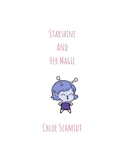STARSHINE And HER MAGIC



## Chloe Schmidt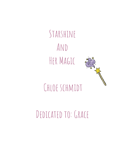Starshine And HER MAGIC



## Chloe schmidt

## DEDICATED TO: GRACE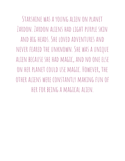Starshine was a young alien on planet Zardon. Zardon aliens hadlight purple skin and BIG HEADS. SHE LOVED ADVENTURES AND NEVER FEARED THE UNKNOWN. SHE WAS A UNIQUE alien because she had magic, and noone else ON HER PLANET COULD USE MAGIC. HOWEVER, THE other aliens were constantly making fun of her for being a magical alien.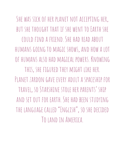SHE WAS SICK OF HER PLANET NOT ACCEPTING HER. BUT SHE THOUGHT THAT IF SHE WENT TO FARTH SHE couldfinda friend. She hadreadabout HUMANS GOING TO MAGIC SHOWS, AND HOW A LOT of humans alsohad magical powers. Knowing this, she figured they might like her. Planet zardon gave every adult a spaceship for TRAVEL, SO STARSHINE STOLE HER PARENTS' SHIP and SET OUT FOR FARTH. SHE HAD BEEN STUDYING the language called"English", soshedecided Tolandin America.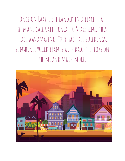ONCE ON EARTH, SHE LANDED IN A PLACE THAT HUMANS CALL CALIFORNIA. TO STARSHINE, THIS PLACE WAS AMAZING. THEY HAD TALL BUILDINGS, SUNSHINE, WEIRD PLANTS WITH BRIGHT COLORS ON them, and much more.

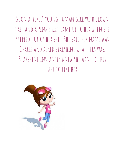Soon after,Ayoung human girl with brown hair anda pink shirt cameup toher when she STEPPED OUT OF HER SHTP. SHE SATD HER NAME WAS GRACIF AND ASKED STARSHINE WHAT HERS WAS. Starshine instantly knew she wantedthis girl tolike her.

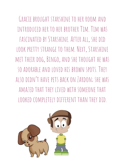Gracie brought starshine toher room and introduced her toher brother Tim. Tim was fascinated by Starshine.After all, shedid LOOK PRETTY STRANGE TO THEM. NEXT, STARSHINE MET THEIR DOG, BINGO, AND SHE THOUGHT HE WAS soadorable andlovedhis brown spots. They alsodidn't have pets backon Zardon; she was AMAZED THAT THEY LIVED WITH SOMEONE THAT LOOKED COMPLETELY DIFFERENT THAN THEY DID.

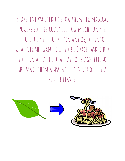STARSHINE WANTED TO SHOW THEM HER MAGICAL powers sothey couldsee how much fun she could be. She could turn any object into WHATEVER SHE WANTED IT TO BE. GRACIE ASKED HER toturn a leaf intoa plate of spaghetti, so SHE MADE THEM A SPAGHETTI DINNFR OUT OF A pile of leaves.

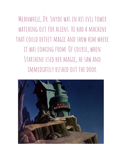Meanwhile,Dr. Snyde was in his evil tower WATCHING OUT FOR ALIFNS. HE HAD A MACHINE THAT COULD DETECT MAGIC AND SHOW HIM WHERE it was coming from.Of course, when STARSHINE USED HER MAGIC, HE SAW AND IMMEDIATELY RUSHED OUT THE DOOR.

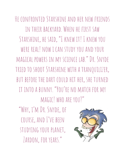He confronted Starshine andher new friends in their backyard. When he first saw STARSHINE, HE SAID, "I KNEW IT! I KNEW YOU WERE REAL! NOW I CAN STUDY YOU AND YOUR magical powers in my science lab."Dr. Snyde TRIED TO SHOOT STARSHINE WITH A TRANQUILIZER, BUT BEFORE THE DART COULD HIT HER, SHE TURNED it intoa bunny. "You're no match for my MAGIC! WHO ARE YOU?"

"Why, i'm Dr. Snyde,of course, andI've been studying your planet, ZARDON, FOR YEARS."

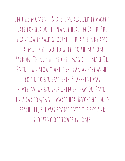In this moment, Starshine realized it wasn't safe for heror her planet here on Earth. She FRANTICALLY SAID GOODBYF TO HER FRIENDS AND promised she would write tothem from ZARDON. THEN, SHE USED HER MAGIC TO MAKE DR. Snyde run slowly while she ran as fast as she couldtoher spaceship. Starshine was poweringup her ship when she saw Dr. Snyde in a car coming towards her. Before he could reach her, she was rising intothe sky and shooting off towards home.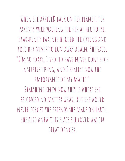WHEN SHE ARRIVED BACK ON HER PLANET, HER parents were waiting for her at her house. Starshine's parents huggedher crying and TOLD HER NEVER TO RUN AWAY AGAIN. SHE SAID, "I'M SO SORRY, I SHOULD HAVE NEVER DONE SUCH A SELFISH THING, AND I REALIZE NOW THE importance of my magic." Starshine knew now this is where she belonged no matter what, but she would never forget the friends she madeon Earth. SHE ALSO KNEW THIS PLACE SHE LOVED WAS IN great danger.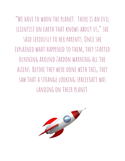"We have to warn the planet. there is an evil SCIENTIST ON EARTH THAT KNOWS ABOUT US," SHE SAID SERIOUSLY TO HER PARENTS. ONCE SHE EXPLAINED WHAT HAPPENED TO THEM, THEY STARTED running around Jardon warning all the aliens. Before they weredone with this, they saw that a strange looking spacecraft was landing on their planet.

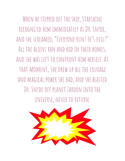WHEN HE STEPPED OFF THE SHIP, STARSHINE RECOGNIZED HIM IMMEDIATELY AS DR. SNYDE. andshe screamed, "Everyone run! He's evil!" ALL THE ALIENS RAN AND HID IN THEIR HOMES. andshe was left toconfront him herself.At that moment, Shedrew up all the courage AND MAGICAL POWER SHE HAD, AND SHE BLASTED DR. SNYDF OFF PLANET ZARDON INTO THE UNIVERSE, NEVER TO RETURN.

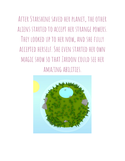AFTER STARSHINE SAVED HER PLANET, THE OTHER aliens startedtoaccept her strange powers. THEY LOOKED UP TO HER NOW, AND SHE FULLY accepted herself. She even startedherown magic show sothat Zardon couldsee her amazing abilities.